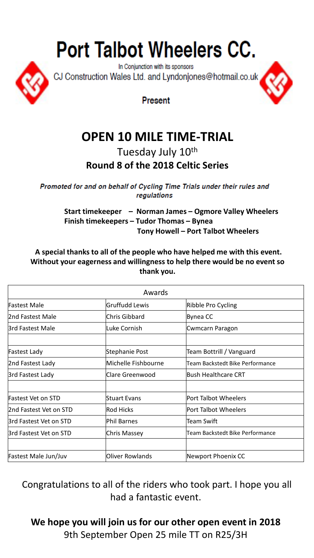## **Port Talbot Wheelers CC.**



In Conjunction with its sponsors CJ Construction Wales Ltd. and Lyndonjones@hotmail.co.uk

Present

## **OPEN 10 MILE TIME-TRIAL**

Tuesday July 10th **Round 8 of the 2018 Celtic Series**

Promoted for and on behalf of Cycling Time Trials under their rules and regulations

> **Start timekeeper – Norman James – Ogmore Valley Wheelers Finish timekeepers – Tudor Thomas – Bynea Tony Howell – Port Talbot Wheelers**

**A special thanks to all of the people who have helped me with this event. Without your eagerness and willingness to help there would be no event so thank you.**

| Awards                 |                        |                                        |  |  |  |  |
|------------------------|------------------------|----------------------------------------|--|--|--|--|
| Fastest Male           | <b>Gruffudd Lewis</b>  | Ribble Pro Cycling                     |  |  |  |  |
| 2nd Fastest Male       | Chris Gibbard          | Bynea CC                               |  |  |  |  |
| 3rd Fastest Male       | Luke Cornish           | Cwmcarn Paragon                        |  |  |  |  |
|                        |                        |                                        |  |  |  |  |
| Fastest Lady           | Stephanie Post         | Team Bottrill / Vanguard               |  |  |  |  |
| 2nd Fastest Lady       | Michelle Fishbourne    | <b>Team Backstedt Bike Performance</b> |  |  |  |  |
| 3rd Fastest Lady       | Clare Greenwood        | Bush Healthcare CRT                    |  |  |  |  |
|                        |                        |                                        |  |  |  |  |
| Fastest Vet on STD     | Stuart Evans           | Port Talbot Wheelers                   |  |  |  |  |
| 2nd Fastest Vet on STD | <b>Rod Hicks</b>       | Port Talbot Wheelers                   |  |  |  |  |
| 3rd Fastest Vet on STD | Phil Barnes            | Team Swift                             |  |  |  |  |
| 3rd Fastest Vet on STD | Chris Massey           | Team Backstedt Bike Performance        |  |  |  |  |
|                        |                        |                                        |  |  |  |  |
| Fastest Male Jun/Juv   | <b>Oliver Rowlands</b> | Newport Phoenix CC                     |  |  |  |  |

Congratulations to all of the riders who took part. I hope you all had a fantastic event.

**We hope you will join us for our other open event in 2018** 9th September Open 25 mile TT on R25/3H